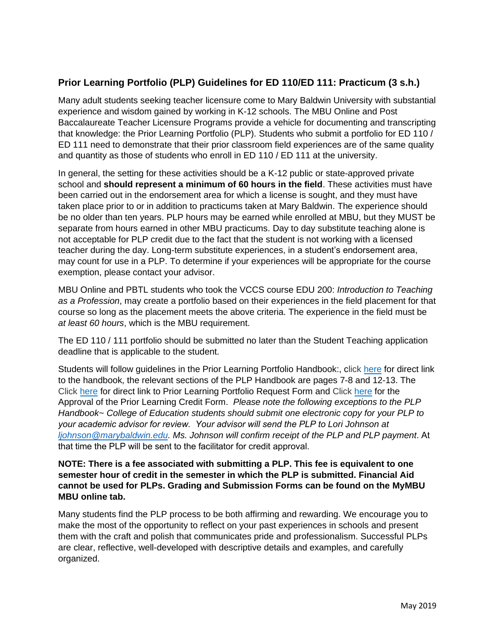## **Prior Learning Portfolio (PLP) Guidelines for ED 110/ED 111: Practicum (3 s.h.)**

Many adult students seeking teacher licensure come to Mary Baldwin University with substantial experience and wisdom gained by working in K-12 schools. The MBU Online and Post Baccalaureate Teacher Licensure Programs provide a vehicle for documenting and transcripting that knowledge: the Prior Learning Portfolio (PLP). Students who submit a portfolio for ED 110 / ED 111 need to demonstrate that their prior classroom field experiences are of the same quality and quantity as those of students who enroll in ED 110 / ED 111 at the university.

In general, the setting for these activities should be a K-12 public or state-approved private school and **should represent a minimum of 60 hours in the field**. These activities must have been carried out in the endorsement area for which a license is sought, and they must have taken place prior to or in addition to practicums taken at Mary Baldwin. The experience should be no older than ten years. PLP hours may be earned while enrolled at MBU, but they MUST be separate from hours earned in other MBU practicums. Day to day substitute teaching alone is not acceptable for PLP credit due to the fact that the student is not working with a licensed teacher during the day. Long-term substitute experiences, in a student's endorsement area, may count for use in a PLP. To determine if your experiences will be appropriate for the course exemption, please contact your advisor.

MBU Online and PBTL students who took the VCCS course EDU 200: *Introduction to Teaching as a Profession*, may create a portfolio based on their experiences in the field placement for that course so long as the placement meets the above criteria. The experience in the field must be *at least 60 hours*, which is the MBU requirement.

The ED 110 / 111 portfolio should be submitted no later than the Student Teaching application deadline that is applicable to the student.

Students will follow guidelines in the Prior Learning Portfolio Handbook:, click [here](https://mymbu.marybaldwin.edu/ICS/icsfs/PLPHandbook_2020._updated_pdf.pdf?target=26e9fb88-1775-4597-a781-f7b4fd306626) for direct link to the handbook, the relevant sections of the PLP Handbook are pages 7-8 and 12-13. The Click [here](https://mymbu.marybaldwin.edu/ICS/icsfs/PLP_Student_Request_Form__2020.pdf?target=8e5de5c6-2956-4e14-9d36-4f9b416800d3) for direct link to Prior Learning Portfolio Request Form and Click [here](https://mymbu.marybaldwin.edu/ICS/icsfs/Approval_of_Prior_Learning_Credit%2c_2019.pdf?target=35a91c7a-e13e-477e-8c11-a0591483c725) for the Approval of the Prior Learning Credit Form. *Please note the following exceptions to the PLP Handbook~ College of Education students should submit one electronic copy for your PLP to your academic advisor for review. Your advisor will send the PLP to Lori Johnson at [ljohnson@marybaldwin.edu.](mailto:ljohnson@marybaldwin.edu) Ms. Johnson will confirm receipt of the PLP and PLP payment*. At that time the PLP will be sent to the facilitator for credit approval.

## **NOTE: There is a fee associated with submitting a PLP. This fee is equivalent to one semester hour of credit in the semester in which the PLP is submitted. Financial Aid cannot be used for PLPs. Grading and Submission Forms can be found on the MyMBU MBU online tab.**

Many students find the PLP process to be both affirming and rewarding. We encourage you to make the most of the opportunity to reflect on your past experiences in schools and present them with the craft and polish that communicates pride and professionalism. Successful PLPs are clear, reflective, well-developed with descriptive details and examples, and carefully organized.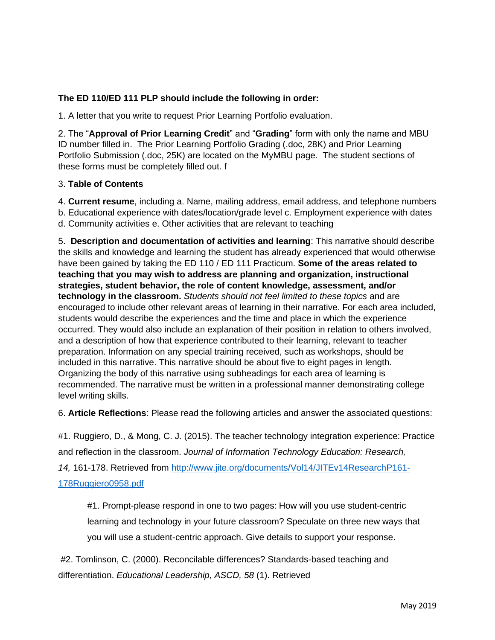## **The ED 110/ED 111 PLP should include the following in order:**

1. A letter that you write to request Prior Learning Portfolio evaluation.

2. The "**Approval of Prior Learning Credit**" and "**Grading**" form with only the name and MBU ID number filled in. The Prior Learning Portfolio Grading (.doc, 28K) and Prior Learning Portfolio Submission (.doc, 25K) are located on the MyMBU page. The student sections of these forms must be completely filled out. f

## 3. **Table of Contents**

4. **Current resume**, including a. Name, mailing address, email address, and telephone numbers b. Educational experience with dates/location/grade level c. Employment experience with dates d. Community activities e. Other activities that are relevant to teaching

5. **Description and documentation of activities and learning**: This narrative should describe the skills and knowledge and learning the student has already experienced that would otherwise have been gained by taking the ED 110 / ED 111 Practicum. **Some of the areas related to teaching that you may wish to address are planning and organization, instructional strategies, student behavior, the role of content knowledge, assessment, and/or technology in the classroom.** *Students should not feel limited to these topics* and are encouraged to include other relevant areas of learning in their narrative. For each area included, students would describe the experiences and the time and place in which the experience occurred. They would also include an explanation of their position in relation to others involved, and a description of how that experience contributed to their learning, relevant to teacher preparation. Information on any special training received, such as workshops, should be included in this narrative. This narrative should be about five to eight pages in length. Organizing the body of this narrative using subheadings for each area of learning is recommended. The narrative must be written in a professional manner demonstrating college level writing skills.

6. **Article Reflections**: Please read the following articles and answer the associated questions:

#1. Ruggiero, D., & Mong, C. J. (2015). The teacher technology integration experience: Practice and reflection in the classroom. *Journal of Information Technology Education: Research, 14,* 161-178. Retrieved from [http://www.jite.org/documents/Vol14/JITEv14ResearchP161-](http://www.jite.org/documents/Vol14/JITEv14ResearchP161-178Ruggiero0958.pdf) [178Ruggiero0958.pdf](http://www.jite.org/documents/Vol14/JITEv14ResearchP161-178Ruggiero0958.pdf)

#1. Prompt-please respond in one to two pages: How will you use student-centric learning and technology in your future classroom? Speculate on three new ways that you will use a student-centric approach. Give details to support your response.

#2. Tomlinson, C. (2000). Reconcilable differences? Standards-based teaching and differentiation. *Educational Leadership, ASCD, 58* (1). Retrieved